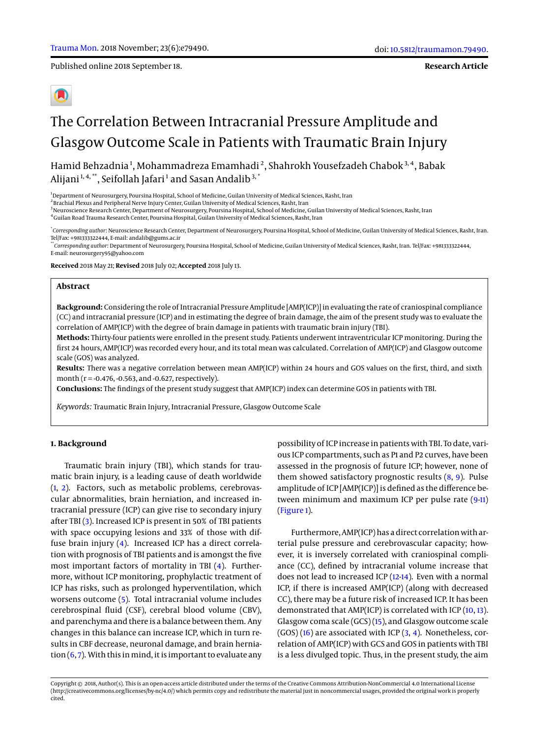Published online 2018 September 18.

**Research Article**

# The Correlation Between Intracranial Pressure Amplitude and Glasgow Outcome Scale in Patients with Traumatic Brain Injury

Hamid Behzadnia<sup>1</sup>, Mohammadreza Emamhadi<sup>2</sup>, Shahrokh Yousefzadeh Chabok<sup>3,4</sup>, Babak Alijani $^{1,\,4,\,\ast\ast}$ , Seifollah Jafari $^1$  and Sasan Andalib $^{3,\,\ast}$ 

<sup>1</sup>Department of Neurosurgery, Poursina Hospital, School of Medicine, Guilan University of Medical Sciences, Rasht, Iran

 $^2$ Brachial Plexus and Peripheral Nerve Injury Center, Guilan University of Medical Sciences, Rasht, Iran

<sup>3</sup>Neuroscience Research Center, Department of Neurosurgery, Poursina Hospital, School of Medicine, Guilan University of Medical Sciences, Rasht, Iran

<sup>4</sup>Guilan Road Trauma Research Center, Poursina Hospital, Guilan University of Medical Sciences, Rasht, Iran

\* *Corresponding author*: Neuroscience Research Center, Department of Neurosurgery, Poursina Hospital, School of Medicine, Guilan University of Medical Sciences, Rasht, Iran. Tel/Fax: +981333322444, E-mail: andalib@gums.ac.ir

\*\**Corresponding author*: Department of Neurosurgery, Poursina Hospital, School of Medicine, Guilan University of Medical Sciences, Rasht, Iran. Tel/Fax: +981333322444, E-mail: neurosurgery95@yahoo.com

**Received** 2018 May 21; **Revised** 2018 July 02; **Accepted** 2018 July 13.

## **Abstract**

**Background:** Considering the role of Intracranial Pressure Amplitude [AMP(ICP)] in evaluating the rate of craniospinal compliance (CC) and intracranial pressure (ICP) and in estimating the degree of brain damage, the aim of the present study was to evaluate the correlation of AMP(ICP) with the degree of brain damage in patients with traumatic brain injury (TBI).

**Methods:** Thirty-four patients were enrolled in the present study. Patients underwent intraventricular ICP monitoring. During the first 24 hours, AMP(ICP) was recorded every hour, and its total mean was calculated. Correlation of AMP(ICP) and Glasgow outcome scale (GOS) was analyzed.

**Results:** There was a negative correlation between mean AMP(ICP) within 24 hours and GOS values on the first, third, and sixth month ( $r = -0.476, -0.563$ , and  $-0.627$ , respectively).

**Conclusions:** The findings of the present study suggest that AMP(ICP) index can determine GOS in patients with TBI.

*Keywords:* Traumatic Brain Injury, Intracranial Pressure, Glasgow Outcome Scale

# **1. Background**

Traumatic brain injury (TBI), which stands for traumatic brain injury, is a leading cause of death worldwide [\(1,](#page-3-0) [2\)](#page-3-1). Factors, such as metabolic problems, cerebrovascular abnormalities, brain herniation, and increased intracranial pressure (ICP) can give rise to secondary injury after TBI [\(3\)](#page-3-2). Increased ICP is present in 50% of TBI patients with space occupying lesions and 33% of those with diffuse brain injury [\(4\)](#page-3-3). Increased ICP has a direct correlation with prognosis of TBI patients and is amongst the five most important factors of mortality in TBI [\(4\)](#page-3-3). Furthermore, without ICP monitoring, prophylactic treatment of ICP has risks, such as prolonged hyperventilation, which worsens outcome [\(5\)](#page-3-4). Total intracranial volume includes cerebrospinal fluid (CSF), cerebral blood volume (CBV), and parenchyma and there is a balance between them. Any changes in this balance can increase ICP, which in turn results in CBF decrease, neuronal damage, and brain herniation  $(6, 7)$  $(6, 7)$  $(6, 7)$ . With this in mind, it is important to evaluate any

possibility of ICP increase in patients with TBI. To date, various ICP compartments, such as P1 and P2 curves, have been assessed in the prognosis of future ICP; however, none of them showed satisfactory prognostic results  $(8, 9)$  $(8, 9)$  $(8, 9)$ . Pulse amplitude of ICP [AMP(ICP)] is defined as the difference between minimum and maximum ICP per pulse rate [\(9-](#page-3-8)[11\)](#page-4-0) [\(Figure 1\)](#page-1-0).

Furthermore, AMP(ICP) has a direct correlation with arterial pulse pressure and cerebrovascular capacity; however, it is inversely correlated with craniospinal compliance (CC), defined by intracranial volume increase that does not lead to increased ICP [\(12](#page-4-1)[-14\)](#page-4-2). Even with a normal ICP, if there is increased AMP(ICP) (along with decreased CC), there may be a future risk of increased ICP. It has been demonstrated that AMP(ICP) is correlated with ICP [\(10,](#page-4-3) [13\)](#page-4-4). Glasgow coma scale (GCS) [\(15\)](#page-4-5), and Glasgow outcome scale  $(GOS)$  [\(16\)](#page-4-6) are associated with ICP [\(3,](#page-3-2) [4\)](#page-3-3). Nonetheless, correlation of AMP(ICP) with GCS and GOS in patients with TBI is a less divulged topic. Thus, in the present study, the aim

Copyright © 2018, Author(s). This is an open-access article distributed under the terms of the Creative Commons Attribution-NonCommercial 4.0 International License (http://creativecommons.org/licenses/by-nc/4.0/) which permits copy and redistribute the material just in noncommercial usages, provided the original work is properly cited.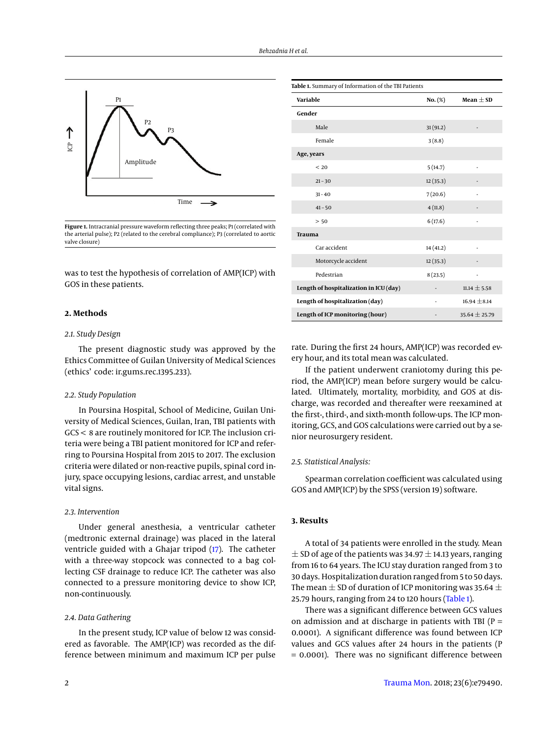<span id="page-1-0"></span>

Figure 1. Intracranial pressure waveform reflecting three peaks; P1 (correlated with the arterial pulse); P2 (related to the cerebral compliance); P3 (correlated to aortic valve closure)

was to test the hypothesis of correlation of AMP(ICP) with GOS in these patients.

# **2. Methods**

# *2.1. Study Design*

The present diagnostic study was approved by the Ethics Committee of Guilan University of Medical Sciences (ethics' code: ir.gums.rec.1395.233).

# *2.2. Study Population*

In Poursina Hospital, School of Medicine, Guilan University of Medical Sciences, Guilan, Iran, TBI patients with GCS < 8 are routinely monitored for ICP. The inclusion criteria were being a TBI patient monitored for ICP and referring to Poursina Hospital from 2015 to 2017. The exclusion criteria were dilated or non-reactive pupils, spinal cord injury, space occupying lesions, cardiac arrest, and unstable vital signs.

# *2.3. Intervention*

Under general anesthesia, a ventricular catheter (medtronic external drainage) was placed in the lateral ventricle guided with a Ghajar tripod [\(17\)](#page-4-7). The catheter with a three-way stopcock was connected to a bag collecting CSF drainage to reduce ICP. The catheter was also connected to a pressure monitoring device to show ICP, non-continuously.

### *2.4. Data Gathering*

In the present study, ICP value of below 12 was considered as favorable. The AMP(ICP) was recorded as the difference between minimum and maximum ICP per pulse

<span id="page-1-1"></span>

| Table 1. Summary of Information of the TBI Patients |           |                   |
|-----------------------------------------------------|-----------|-------------------|
| Variable                                            | $No.$ (%) | Mean $\pm$ SD     |
| Gender                                              |           |                   |
| Male                                                | 31(91.2)  |                   |
| Female                                              | 3(8.8)    |                   |
| Age, years                                          |           |                   |
| < 20                                                | 5(14.7)   | ÷,                |
| $21 - 30$                                           | 12(35.3)  |                   |
| $31 - 40$                                           | 7(20.6)   |                   |
| $41 - 50$                                           | 4(11.8)   |                   |
| > 50                                                | 6(17.6)   |                   |
| Trauma                                              |           |                   |
| Car accident                                        | 14(41.2)  |                   |
| Motorcycle accident                                 | 12(35.3)  |                   |
| Pedestrian                                          | 8(23.5)   |                   |
| Length of hospitalization in ICU (day)              |           | $11.14 \pm 5.58$  |
| Length of hospitalization (day)                     |           | $16.94 \pm 8.14$  |
| Length of ICP monitoring (hour)                     |           | $35.64 \pm 25.79$ |

rate. During the first 24 hours, AMP(ICP) was recorded every hour, and its total mean was calculated.

If the patient underwent craniotomy during this period, the AMP(ICP) mean before surgery would be calculated. Ultimately, mortality, morbidity, and GOS at discharge, was recorded and thereafter were reexamined at the first-, third-, and sixth-month follow-ups. The ICP monitoring, GCS, and GOS calculations were carried out by a senior neurosurgery resident.

# *2.5. Statistical Analysis:*

Spearman correlation coefficient was calculated using GOS and AMP(ICP) by the SPSS (version 19) software.

# **3. Results**

A total of 34 patients were enrolled in the study. Mean  $\pm$  SD of age of the patients was 34.97  $\pm$  14.13 years, ranging from 16 to 64 years. The ICU stay duration ranged from 3 to 30 days. Hospitalization duration ranged from 5 to 50 days. The mean  $\pm$  SD of duration of ICP monitoring was 35.64  $\pm$ 25.79 hours, ranging from 24 to 120 hours [\(Table 1\)](#page-1-1).

There was a significant difference between GCS values on admission and at discharge in patients with TBI ( $P =$ 0.0001). A significant difference was found between ICP values and GCS values after 24 hours in the patients (P = 0.0001). There was no significant difference between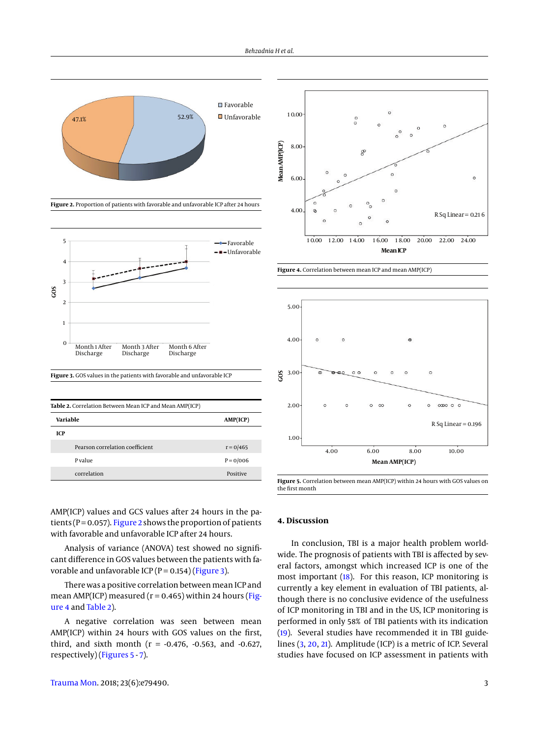<span id="page-2-0"></span>

**Figure 2.** Proportion of patients with favorable and unfavorable ICP after 24 hours

<span id="page-2-1"></span>



<span id="page-2-3"></span>

| Table 2. Correlation Between Mean ICP and Mean AMP(ICP) |             |  |
|---------------------------------------------------------|-------------|--|
| Variable                                                | AMP(ICP)    |  |
| ICP                                                     |             |  |
| Pearson correlation coefficient                         | $r = 0/465$ |  |
| P value                                                 | $P = 0/006$ |  |
| correlation                                             | Positive    |  |

<span id="page-2-2"></span>

**Figure 4.** Correlation between mean ICP and mean AMP(ICP)

<span id="page-2-4"></span>

**Figure 5.** Correlation between mean AMP(ICP) within 24 hours with GOS values on the first month

AMP(ICP) values and GCS values after 24 hours in the patients ( $P = 0.057$ ). [Figure 2](#page-2-0) shows the proportion of patients with favorable and unfavorable ICP after 24 hours.

Analysis of variance (ANOVA) test showed no significant difference in GOS values between the patients with favorable and unfavorable ICP ( $P = 0.154$ ) [\(Figure 3\)](#page-2-1).

There was a positive correlation between mean ICP and mean AMP(ICP) measured ( $r = 0.465$ ) within 24 hours [\(Fig](#page-2-2)[ure 4](#page-2-2) and [Table 2\)](#page-2-3).

A negative correlation was seen between mean AMP(ICP) within 24 hours with GOS values on the first, third, and sixth month ( $r = -0.476$ ,  $-0.563$ , and  $-0.627$ , respectively) [\(Figures 5](#page-2-4) - [7\)](#page-3-9).

# **4. Discussion**

In conclusion, TBI is a major health problem worldwide. The prognosis of patients with TBI is affected by several factors, amongst which increased ICP is one of the most important [\(18\)](#page-4-8). For this reason, ICP monitoring is currently a key element in evaluation of TBI patients, although there is no conclusive evidence of the usefulness of ICP monitoring in TBI and in the US, ICP monitoring is performed in only 58% of TBI patients with its indication [\(19\)](#page-4-9). Several studies have recommended it in TBI guidelines [\(3,](#page-3-2) [20,](#page-4-10) [21\)](#page-4-11). Amplitude (ICP) is a metric of ICP. Several studies have focused on ICP assessment in patients with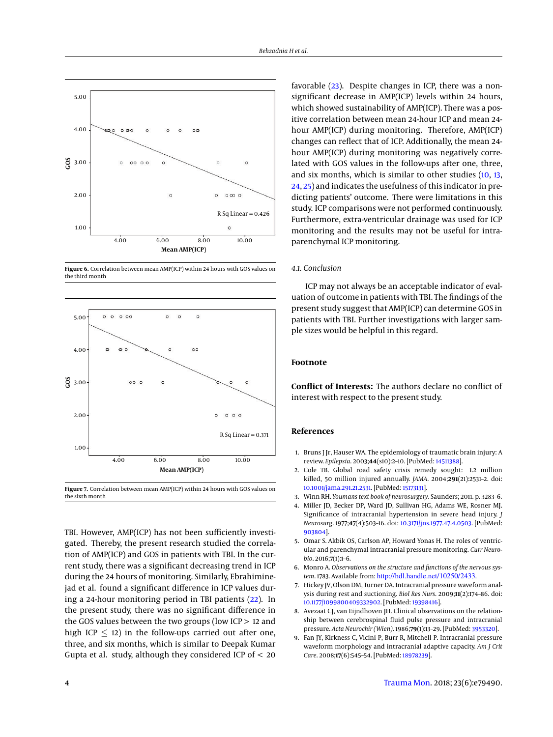

**Figure 6.** Correlation between mean AMP(ICP) within 24 hours with GOS values on the third month

<span id="page-3-9"></span>

**Figure 7.** Correlation between mean AMP(ICP) within 24 hours with GOS values on the sixth month

TBI. However, AMP(ICP) has not been sufficiently investigated. Thereby, the present research studied the correlation of AMP(ICP) and GOS in patients with TBI. In the current study, there was a significant decreasing trend in ICP during the 24 hours of monitoring. Similarly, Ebrahiminejad et al. found a significant difference in ICP values during a 24-hour monitoring period in TBI patients [\(22\)](#page-4-12). In the present study, there was no significant difference in the GOS values between the two groups (low  $ICP > 12$  and high ICP  $\leq$  12) in the follow-ups carried out after one, three, and six months, which is similar to Deepak Kumar Gupta et al. study, although they considered ICP of < 20

favorable [\(23\)](#page-4-13). Despite changes in ICP, there was a nonsignificant decrease in AMP(ICP) levels within 24 hours, which showed sustainability of AMP(ICP). There was a positive correlation between mean 24-hour ICP and mean 24 hour AMP(ICP) during monitoring. Therefore, AMP(ICP) changes can reflect that of ICP. Additionally, the mean 24 hour AMP(ICP) during monitoring was negatively correlated with GOS values in the follow-ups after one, three, and six months, which is similar to other studies [\(10,](#page-4-3) [13,](#page-4-4) [24,](#page-4-14) [25\)](#page-4-15) and indicates the usefulness of this indicator in predicting patients' outcome. There were limitations in this study. ICP comparisons were not performed continuously. Furthermore, extra-ventricular drainage was used for ICP monitoring and the results may not be useful for intraparenchymal ICP monitoring.

# *4.1. Conclusion*

ICP may not always be an acceptable indicator of evaluation of outcome in patients with TBI. The findings of the present study suggest that AMP(ICP) can determine GOS in patients with TBI. Further investigations with larger sample sizes would be helpful in this regard.

# **Footnote**

**Conflict of Interests:** The authors declare no conflict of interest with respect to the present study.

# **References**

- <span id="page-3-0"></span>1. Bruns J Jr, Hauser WA. The epidemiology of traumatic brain injury: A review. *Epilepsia*. 2003;**44**(s10):2–10. [PubMed: [14511388\]](http://www.ncbi.nlm.nih.gov/pubmed/14511388).
- <span id="page-3-1"></span>2. Cole TB. Global road safety crisis remedy sought: 1.2 million killed, 50 million injured annually. *JAMA*. 2004;**291**(21):2531–2. doi: [10.1001/jama.291.21.2531.](http://dx.doi.org/10.1001/jama.291.21.2531) [PubMed: [15173131\]](http://www.ncbi.nlm.nih.gov/pubmed/15173131).
- <span id="page-3-2"></span>3. Winn RH. *Youmans text book of neurosurgery*. Saunders; 2011. p. 3283–6.
- <span id="page-3-3"></span>4. Miller JD, Becker DP, Ward JD, Sullivan HG, Adams WE, Rosner MJ. Significance of intracranial hypertension in severe head injury. *J Neurosurg*. 1977;**47**(4):503–16. doi: [10.3171/jns.1977.47.4.0503.](http://dx.doi.org/10.3171/jns.1977.47.4.0503) [PubMed: [903804\]](http://www.ncbi.nlm.nih.gov/pubmed/903804).
- <span id="page-3-4"></span>5. Omar S. Akbik OS, Carlson AP, Howard Yonas H. The roles of ventricular and parenchymal intracranial pressure monitoring. *Curr Neurobio*. 2016;**7**(1):1–6.
- <span id="page-3-5"></span>6. Monro A. *Observations on the structure and functions of the nervous system*. 1783. Available from: <http://hdl.handle.net/10250/2433>.
- <span id="page-3-6"></span>7. Hickey JV, Olson DM, Turner DA. Intracranial pressure waveform analysis during rest and suctioning. *Biol Res Nurs*. 2009;**11**(2):174–86. doi: [10.1177/1099800409332902.](http://dx.doi.org/10.1177/1099800409332902) [PubMed: [19398416\]](http://www.ncbi.nlm.nih.gov/pubmed/19398416).
- <span id="page-3-7"></span>8. Avezaat CJ, van Eijndhoven JH. Clinical observations on the relationship between cerebrospinal fluid pulse pressure and intracranial pressure. *Acta Neurochir (Wien)*. 1986;**79**(1):13–29. [PubMed: [3953320\]](http://www.ncbi.nlm.nih.gov/pubmed/3953320).
- <span id="page-3-8"></span>9. Fan JY, Kirkness C, Vicini P, Burr R, Mitchell P. Intracranial pressure waveform morphology and intracranial adaptive capacity. *Am J Crit Care*. 2008;**17**(6):545–54. [PubMed: [18978239\]](http://www.ncbi.nlm.nih.gov/pubmed/18978239).